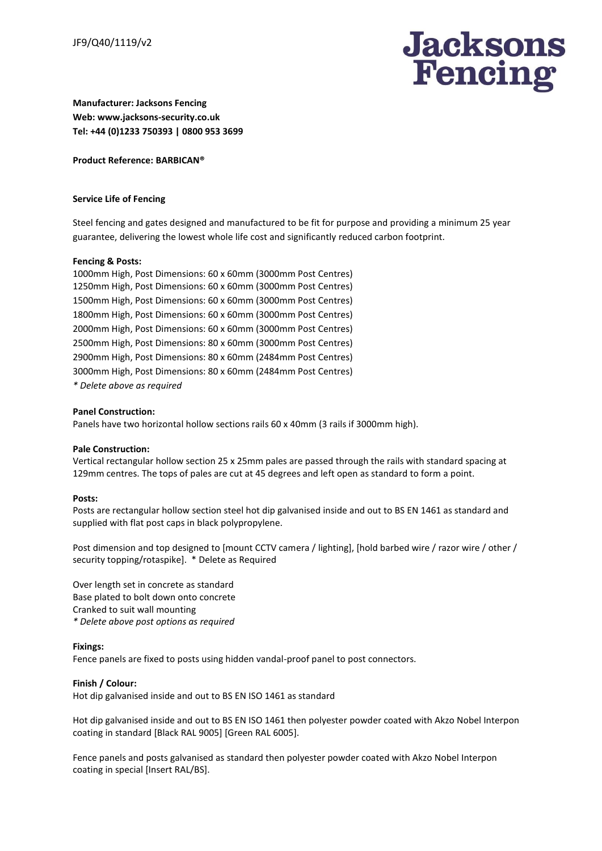

**Manufacturer: Jacksons Fencing Web: www.jacksons-security.co.uk Tel: +44 (0)1233 750393 | 0800 953 3699**

#### **Product Reference: BARBICAN®**

#### **Service Life of Fencing**

Steel fencing and gates designed and manufactured to be fit for purpose and providing a minimum 25 year guarantee, delivering the lowest whole life cost and significantly reduced carbon footprint.

### **Fencing & Posts:**

1000mm High, Post Dimensions: 60 x 60mm (3000mm Post Centres) 1250mm High, Post Dimensions: 60 x 60mm (3000mm Post Centres) 1500mm High, Post Dimensions: 60 x 60mm (3000mm Post Centres) 1800mm High, Post Dimensions: 60 x 60mm (3000mm Post Centres) 2000mm High, Post Dimensions: 60 x 60mm (3000mm Post Centres) 2500mm High, Post Dimensions: 80 x 60mm (3000mm Post Centres) 2900mm High, Post Dimensions: 80 x 60mm (2484mm Post Centres) 3000mm High, Post Dimensions: 80 x 60mm (2484mm Post Centres) *\* Delete above as required*

#### **Panel Construction:**

Panels have two horizontal hollow sections rails 60 x 40mm (3 rails if 3000mm high).

#### **Pale Construction:**

Vertical rectangular hollow section 25 x 25mm pales are passed through the rails with standard spacing at 129mm centres. The tops of pales are cut at 45 degrees and left open as standard to form a point.

#### **Posts:**

Posts are rectangular hollow section steel hot dip galvanised inside and out to BS EN 1461 as standard and supplied with flat post caps in black polypropylene.

Post dimension and top designed to [mount CCTV camera / lighting], [hold barbed wire / razor wire / other / security topping/rotaspike]. \* Delete as Required

Over length set in concrete as standard Base plated to bolt down onto concrete Cranked to suit wall mounting *\* Delete above post options as required*

#### **Fixings:**

Fence panels are fixed to posts using hidden vandal-proof panel to post connectors.

### **Finish / Colour:**

Hot dip galvanised inside and out to BS EN ISO 1461 as standard

Hot dip galvanised inside and out to BS EN ISO 1461 then polyester powder coated with Akzo Nobel Interpon coating in standard [Black RAL 9005] [Green RAL 6005].

Fence panels and posts galvanised as standard then polyester powder coated with Akzo Nobel Interpon coating in special [Insert RAL/BS].